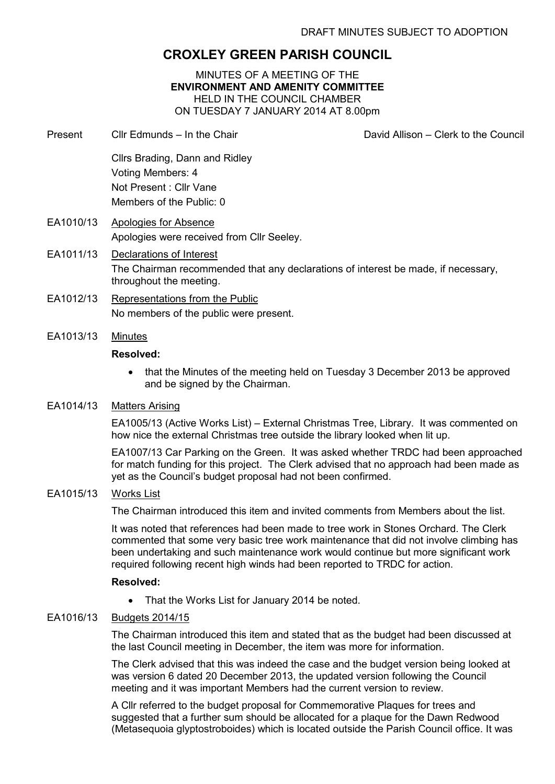# **CROXLEY GREEN PARISH COUNCIL**

MINUTES OF A MEETING OF THE **ENVIRONMENT AND AMENITY COMMITTEE**  HELD IN THE COUNCIL CHAMBER ON TUESDAY 7 JANUARY 2014 AT 8.00pm

- Present Cllr Edmunds In the Chair David Allison Clerk to the Council Cllrs Brading, Dann and Ridley Voting Members: 4 Not Present : Cllr Vane Members of the Public: 0
- EA1010/13 Apologies for Absence Apologies were received from Cllr Seeley.
- EA1011/13 Declarations of Interest The Chairman recommended that any declarations of interest be made, if necessary, throughout the meeting.
- EA1012/13 Representations from the Public No members of the public were present.
- EA1013/13 Minutes

#### **Resolved:**

• that the Minutes of the meeting held on Tuesday 3 December 2013 be approved and be signed by the Chairman.

# EA1014/13 Matters Arising

EA1005/13 (Active Works List) – External Christmas Tree, Library. It was commented on how nice the external Christmas tree outside the library looked when lit up.

EA1007/13 Car Parking on the Green. It was asked whether TRDC had been approached for match funding for this project. The Clerk advised that no approach had been made as yet as the Council's budget proposal had not been confirmed.

# EA1015/13 Works List

The Chairman introduced this item and invited comments from Members about the list.

It was noted that references had been made to tree work in Stones Orchard. The Clerk commented that some very basic tree work maintenance that did not involve climbing has been undertaking and such maintenance work would continue but more significant work required following recent high winds had been reported to TRDC for action.

#### **Resolved:**

• That the Works List for January 2014 be noted.

# EA1016/13 Budgets 2014/15

The Chairman introduced this item and stated that as the budget had been discussed at the last Council meeting in December, the item was more for information.

The Clerk advised that this was indeed the case and the budget version being looked at was version 6 dated 20 December 2013, the updated version following the Council meeting and it was important Members had the current version to review.

A Cllr referred to the budget proposal for Commemorative Plaques for trees and suggested that a further sum should be allocated for a plaque for the Dawn Redwood (Metasequoia glyptostroboides) which is located outside the Parish Council office. It was